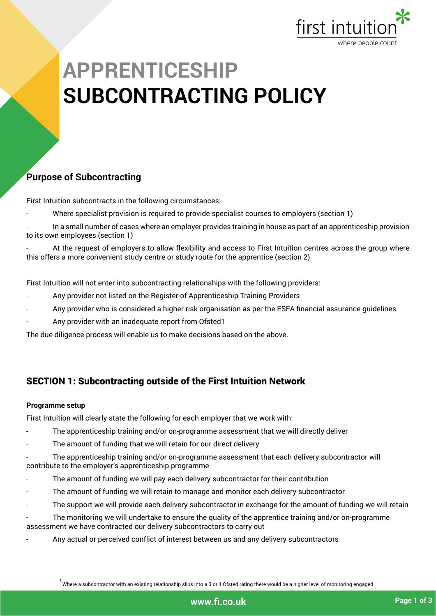

### **Purpose of Subcontracting**

First Intuition subcontracts in the following circumstances:

- Where specialist provision is required to provide specialist courses to employers (section 1)
- In a small number of cases where an employer provides training in house as part of an apprenticeship provision to its own employees (section 1)

At the request of employers to allow flexibility and access to First Intuition centres across the group where this offers a more convenient study centre or study route for the apprentice (section 2)

First Intuition will not enter into subcontracting relationships with the following providers:

- Any provider not listed on the Register of Apprenticeship Training Providers
- Any provider who is considered a higher-risk organisation as per the ESFA financial assurance guidelines
- Any provider with an inadequate report from Ofsted1

The due diligence process will enable us to make decisions based on the above.

## SECTION 1: Subcontracting outside of the First Intuition Network

#### **Programme setup**

First Intuition will clearly state the following for each employer that we work with:

- The apprenticeship training and/or on-programme assessment that we will directly deliver
- The amount of funding that we will retain for our direct delivery
- The apprenticeship training and/or on-programme assessment that each delivery subcontractor will contribute to the employer's apprenticeship programme
- The amount of funding we will pay each delivery subcontractor for their contribution
- The amount of funding we will retain to manage and monitor each delivery subcontractor
- The support we will provide each delivery subcontractor in exchange for the amount of funding we will retain
- The monitoring we will undertake to ensure the quality of the apprentice training and/or on-programme assessment we have contracted our delivery subcontractors to carry out
- Any actual or perceived conflict of interest between us and any delivery subcontractors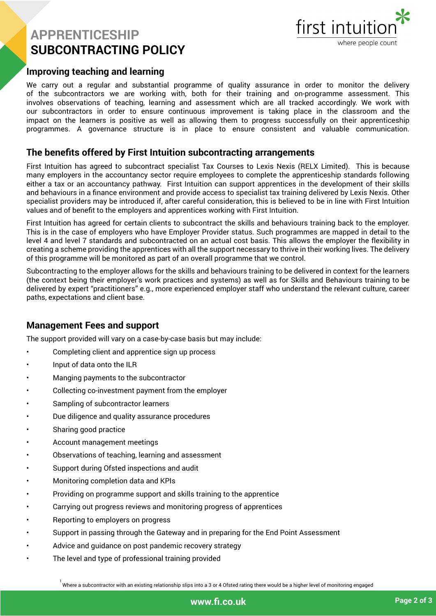

#### **Improving teaching and learning**

We carry out a regular and substantial programme of quality assurance in order to monitor the delivery of the subcontractors we are working with, both for their training and on-programme assessment. This involves observations of teaching, learning and assessment which are all tracked accordingly. We work with our subcontractors in order to ensure continuous improvement is taking place in the classroom and the impact on the learners is positive as well as allowing them to progress successfully on their apprenticeship programmes. A governance structure is in place to ensure consistent and valuable communication.

#### **The benefits offered by First Intuition subcontracting arrangements**

First Intuition has agreed to subcontract specialist Tax Courses to Lexis Nexis (RELX Limited). This is because many employers in the accountancy sector require employees to complete the apprenticeship standards following either a tax or an accountancy pathway. First Intuition can support apprentices in the development of their skills and behaviours in a finance environment and provide access to specialist tax training delivered by Lexis Nexis. Other specialist providers may be introduced if, after careful consideration, this is believed to be in line with First Intuition values and of benefit to the employers and apprentices working with First Intuition.

First Intuition has agreed for certain clients to subcontract the skills and behaviours training back to the employer. This is in the case of employers who have Employer Provider status. Such programmes are mapped in detail to the level 4 and level 7 standards and subcontracted on an actual cost basis. This allows the employer the flexibility in creating a scheme providing the apprentices with all the support necessary to thrive in their working lives. The delivery of this programme will be monitored as part of an overall programme that we control.

Subcontracting to the employer allows for the skills and behaviours training to be delivered in context for the learners (the context being their employer's work practices and systems) as well as for Skills and Behaviours training to be delivered by expert "practitioners" e.g., more experienced employer staff who understand the relevant culture, career paths, expectations and client base.

#### **Management Fees and support**

The support provided will vary on a case-by-case basis but may include:

- Completing client and apprentice sign up process
- Input of data onto the ILR
- Manging payments to the subcontractor
- Collecting co-investment payment from the employer
- Sampling of subcontractor learners
- Due diligence and quality assurance procedures
- Sharing good practice
- Account management meetings
- Observations of teaching, learning and assessment
- Support during Ofsted inspections and audit
- Monitoring completion data and KPIs
- Providing on programme support and skills training to the apprentice
- Carrying out progress reviews and monitoring progress of apprentices
- Reporting to employers on progress
- Support in passing through the Gateway and in preparing for the End Point Assessment
- Advice and quidance on post pandemic recovery strategy
- The level and type of professional training provided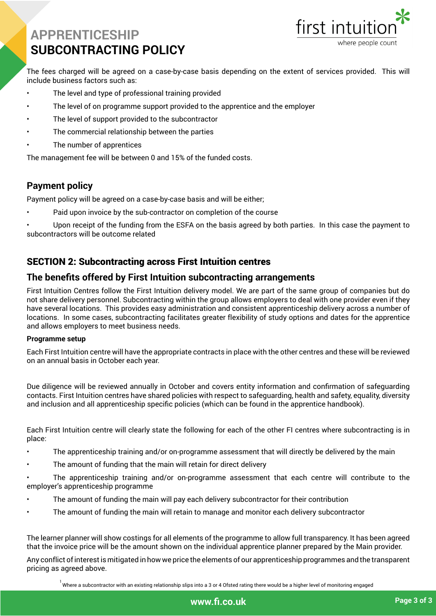

The fees charged will be agreed on a case-by-case basis depending on the extent of services provided. This will include business factors such as:

- The level and type of professional training provided
- The level of on programme support provided to the apprentice and the employer
- The level of support provided to the subcontractor
- The commercial relationship between the parties
- The number of apprentices

The management fee will be between 0 and 15% of the funded costs.

#### **Payment policy**

Payment policy will be agreed on a case-by-case basis and will be either;

- Paid upon invoice by the sub-contractor on completion of the course
- Upon receipt of the funding from the ESFA on the basis agreed by both parties. In this case the payment to subcontractors will be outcome related

#### SECTION 2: Subcontracting across First Intuition centres

#### **The benefits offered by First Intuition subcontracting arrangements**

First Intuition Centres follow the First Intuition delivery model. We are part of the same group of companies but do not share delivery personnel. Subcontracting within the group allows employers to deal with one provider even if they have several locations. This provides easy administration and consistent apprenticeship delivery across a number of locations. In some cases, subcontracting facilitates greater flexibility of study options and dates for the apprentice and allows employers to meet business needs.

#### **Programme setup**

Each First Intuition centre will have the appropriate contracts in place with the other centres and these will be reviewed on an annual basis in October each year.

Due diligence will be reviewed annually in October and covers entity information and confirmation of safeguarding contacts. First Intuition centres have shared policies with respect to safeguarding, health and safety, equality, diversity and inclusion and all apprenticeship specific policies (which can be found in the apprentice handbook).

Each First Intuition centre will clearly state the following for each of the other FI centres where subcontracting is in place:

- The apprenticeship training and/or on-programme assessment that will directly be delivered by the main
- The amount of funding that the main will retain for direct delivery

• The apprenticeship training and/or on-programme assessment that each centre will contribute to the employer's apprenticeship programme

- The amount of funding the main will pay each delivery subcontractor for their contribution
- The amount of funding the main will retain to manage and monitor each delivery subcontractor

The learner planner will show costings for all elements of the programme to allow full transparency. It has been agreed that the invoice price will be the amount shown on the individual apprentice planner prepared by the Main provider.

Any conflict ofinterestis mitigated in how we price the elements of our apprenticeship programmes and the transparent pricing as agreed above.